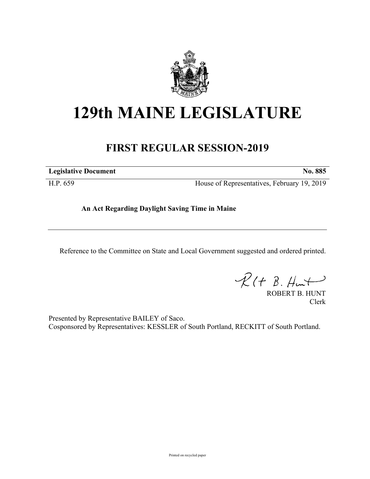

# **129th MAINE LEGISLATURE**

## **FIRST REGULAR SESSION-2019**

**Legislative Document No. 885**

H.P. 659 House of Representatives, February 19, 2019

**An Act Regarding Daylight Saving Time in Maine**

Reference to the Committee on State and Local Government suggested and ordered printed.

 $R(H B. HmH)$ 

ROBERT B. HUNT Clerk

Presented by Representative BAILEY of Saco. Cosponsored by Representatives: KESSLER of South Portland, RECKITT of South Portland.